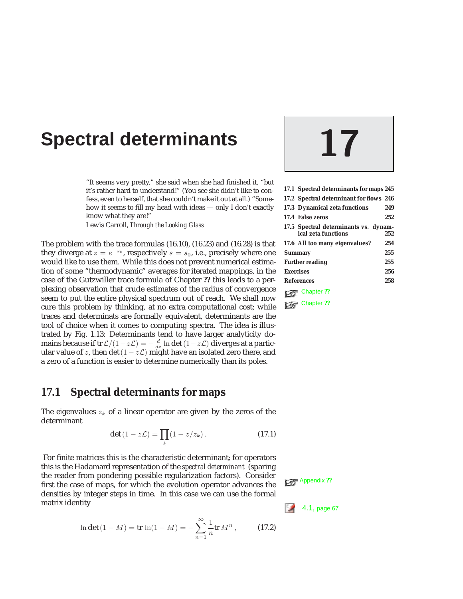# **Spectral determinants 17**

"It seems very pretty," she said when she had finished it, "but it's rather hard to understand!" (You see she didn't like to confess, even to herself, that she couldn't make it out at all.) "Somehow it seems to fill my head with ideas — only I don't exactly know what they are!"

Lewis Carroll, *Through the Looking Glass*

The problem with the trace formulas (16.10), (16.23) and (16.28) is that they diverge at  $z = e^{-s_0}$ , respectively  $s = s_0$ , i.e., precisely where one would like to use them. While this does not prevent numerical estimation of some "thermodynamic" averages for iterated mappings, in the case of the Gutzwiller trace formula of Chapter **??** this leads to a perplexing observation that crude estimates of the radius of convergence seem to put the entire physical spectrum out of reach. We shall now cure this problem by thinking, at no extra computational cost; while **Chapter ??** traces and determinats are formally equivalent, determinants are the tool of choice when it comes to computing spectra. The idea is illustrated by Fig. 1.13: Determinants tend to have larger analyticity domains because if tr  $\mathcal{L}/(1-z\mathcal{L}) = -\frac{d}{dz}\ln \det(1-z\mathcal{L})$  diverges at a particular value of z, then det  $(1 - z\mathcal{L})$  might have an isolated zero there, and a zero of a function is easier to determine numerically than its poles.

### **17.1 Spectral determinants for maps**

The eigenvalues  $z_k$  of a linear operator are given by the zeros of the determinant

$$
\det\left(1-z\mathcal{L}\right) = \prod_{k}\left(1-z/z_{k}\right). \tag{17.1}
$$

For finite matrices this is the characteristic determinant; for operators this is the Hadamard representation of the *spectral determinant* (sparing the reader from pondering possible regularization factors). Consider first the case of maps, for which the evolution operator advances the densities by integer steps in time. In this case we can use the formal matrix identity  $\begin{bmatrix} 4 & 1 \end{bmatrix}$  page 67

$$
\ln \det (1 - M) = \text{tr} \, \ln(1 - M) = -\sum_{n=1}^{\infty} \frac{1}{n} \text{tr} \, M^n \,, \tag{17.2}
$$



| 17.1 Spectral determinants for maps 245                      |     |
|--------------------------------------------------------------|-----|
| 17.2 Spectral determinant for flows 246                      |     |
| 17.3 Dynamical zeta functions                                | 249 |
| <b>17.4 False zeros</b>                                      | 252 |
| 17.5 Spectral determinants vs. dynam-<br>ical zeta functions | 252 |
| 17.6 All too many eigenvalues?                               | 254 |
| <b>Summary</b>                                               | 255 |
| <b>Further reading</b>                                       | 255 |
| <b>Exercises</b>                                             | 256 |
| <b>References</b>                                            | 258 |
| Chapter ??                                                   |     |
|                                                              |     |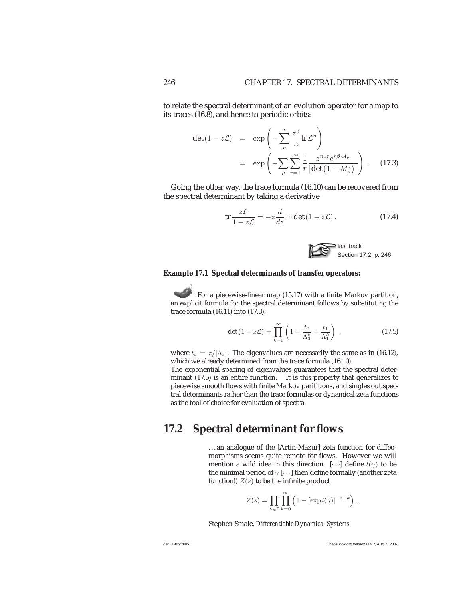to relate the spectral determinant of an evolution operator for a map to its traces (16.8), and hence to periodic orbits:

$$
\det (1 - z\mathcal{L}) = \exp \left( -\sum_{n}^{\infty} \frac{z^n}{n} \text{tr} \, \mathcal{L}^n \right)
$$

$$
= \exp \left( -\sum_{p} \sum_{r=1}^{\infty} \frac{1}{r} \frac{z^{n_p r} e^{r\beta \cdot A_p}}{|\det (1 - M_p^r)|} \right). \quad (17.3)
$$

Going the other way, the trace formula (16.10) can be recovered from the spectral determinant by taking a derivative

$$
\operatorname{tr}\frac{z\mathcal{L}}{1-z\mathcal{L}}=-z\frac{d}{dz}\ln\det(1-z\mathcal{L}).
$$
 (17.4)



#### **Example 17.1 Spectral determinants of transfer operators:**

For a piecewise-linear map (15.17) with a finite Markov partition, an explicit formula for the spectral determinant follows by substituting the trace formula (16.11) into (17.3):

$$
\det\left(1-z\mathcal{L}\right) = \prod_{k=0}^{\infty} \left(1 - \frac{t_0}{\Lambda_0^k} - \frac{t_1}{\Lambda_1^k}\right) \,,\tag{17.5}
$$

where  $t_s = z/|\Lambda_s|$ . The eigenvalues are necessarily the same as in (16.12), which we already determined from the trace formula (16.10).

The exponential spacing of eigenvalues guarantees that the spectral determinant (17.5) is an entire function. It is this property that generalizes to piecewise smooth flows with finite Markov parititions, and singles out spectral determinants rather than the trace formulas or dynamical zeta functions as the tool of choice for evaluation of spectra.

### **17.2 Spectral determinant for flows**

...an analogue of the [Artin-Mazur] zeta function for diffeomorphisms seems quite remote for flows. However we will mention a wild idea in this direction.  $[\cdots]$  define  $l(\gamma)$  to be the minimal period of  $\gamma$  [ $\cdots$ ] then define formally (another zeta function!)  $Z(s)$  to be the infinite product

$$
Z(s) = \prod_{\gamma \in \Gamma} \prod_{k=0}^{\infty} \left( 1 - \left[ \exp l(\gamma) \right]^{-s-k} \right) .
$$

Stephen Smale, *Differentiable Dynamical Systems*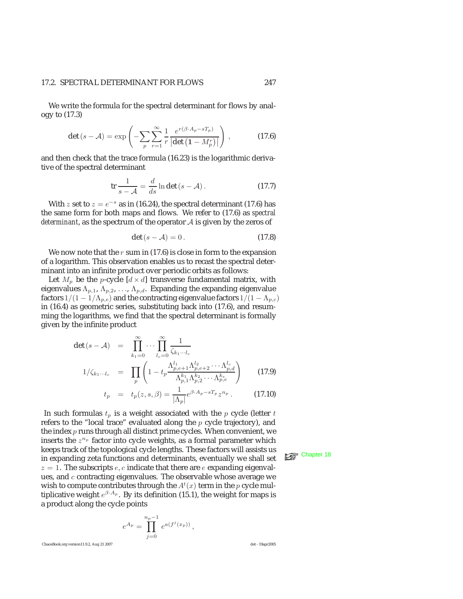#### 17.2. SPECTRAL DETERMINANT FOR FLOWS 247

We write the formula for the spectral determinant for flows by analogy to (17.3)

$$
\det\left(s-\mathcal{A}\right)=\exp\left(-\sum_{p}\sum_{r=1}^{\infty}\frac{1}{r}\frac{e^{r(\beta\cdot A_p-sT_p)}}{\left|\det\left(1-M_p^r\right)\right|}\right),\tag{17.6}
$$

and then check that the trace formula (16.23) is the logarithmic derivative of the spectral determinant

$$
\operatorname{tr}\frac{1}{s-\mathcal{A}} = \frac{d}{ds}\ln\det\left(s-\mathcal{A}\right). \tag{17.7}
$$

With z set to  $z = e^{-s}$  as in (16.24), the spectral determinant (17.6) has the same form for both maps and flows. We refer to (17.6) as *spectral determinant*, as the spectrum of the operator A is given by the zeros of

$$
\det(s - \mathcal{A}) = 0. \tag{17.8}
$$

We now note that the  $r$  sum in (17.6) is close in form to the expansion of a logarithm. This observation enables us to recast the spectral determinant into an infinite product over periodic orbits as follows:

Let  $M_p$  be the p-cycle  $[d \times d]$  transverse fundamental matrix, with eigenvalues  $\Lambda_{p,1}$ ,  $\Lambda_{p,2}$ , ...,  $\Lambda_{p,d}$ . Expanding the expanding eigenvalue factors  $1/(1 - 1/\Lambda_{p,e})$  and the contracting eigenvalue factors  $1/(1 - \Lambda_{p,e})$ in (16.4) as geometric series, substituting back into (17.6), and resumming the logarithms, we find that the spectral determinant is formally given by the infinite product

$$
\det (s - A) = \prod_{k_1=0}^{\infty} \cdots \prod_{l_c=0}^{\infty} \frac{1}{\zeta_{k_1 \cdots l_c}}
$$
  

$$
1/\zeta_{k_1 \cdots l_c} = \prod_p \left( 1 - t_p \frac{\Lambda_{p,e+1}^{l_1} \Lambda_{p,e+2}^{l_2} \cdots \Lambda_{p,d}^{l_c}}{\Lambda_{p,1}^{k_1} \Lambda_{p,2}^{k_2} \cdots \Lambda_{p,e}^{k_e}} \right)
$$
(17.9)  

$$
t_p = t_p(z, s, \beta) = \frac{1}{|\Lambda_p|} e^{\beta \cdot A_p - sT_p} z^{n_p}.
$$
(17.10)

In such formulas 
$$
t_p
$$
 is a weight associated with the  $p$  cycle (letter  $t$  refers to the "local trace" evaluated along the  $p$  cycle trajectory), and the index  $p$  runs through all distinct prime cycles. When convenient, we inserts the  $z^{n_p}$  factor into cycle weights, as a formal parameter which keeps track of the topological cycle lengths. These factors will assists us in expanding zeta functions and determinants, eventually we shall set  $z = 1$ . The subscripts  $e$ ,  $c$  indicate that there are  $e$  expanding eigenvalues, and  $c$  contracting eigenvalues. The observable whose average we wish to compute contributes through the  $A^t(x)$  term in the  $p$  cycle multiplicative weight  $e^{\beta \cdot A_p}$ . By its definition (15.1), the weight for maps is a product along the cycle points

$$
e^{A_p} = \prod_{j=0}^{n_p-1} e^{a(f^j(x_p))},
$$

**keep** Chapter 18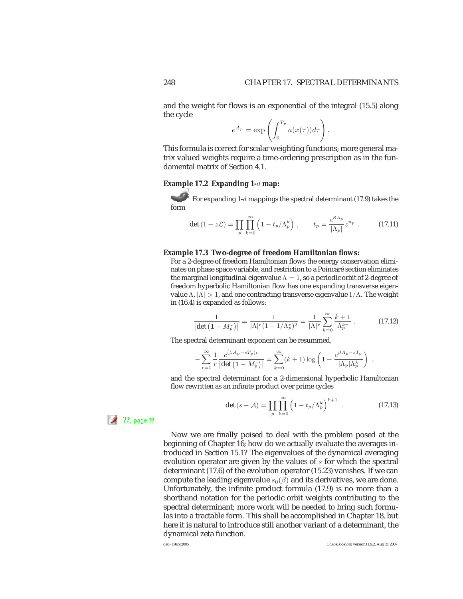.

and the weight for flows is an exponential of the integral (15.5) along the cycle

$$
e^{A_p} = \exp\left(\int_0^{T_p} a(x(\tau)) d\tau\right)
$$

This formula is correct for scalar weighting functions; more general matrix valued weights require a time-ordering prescription as in the fundamental matrix of Section 4.1.

#### **Example 17.2 Expanding 1-**d **map:**

For expanding 1-d mappings the spectral determinant (17.9) takes the form

$$
\det\left(1 - z\mathcal{L}\right) = \prod_{p} \prod_{k=0}^{\infty} \left(1 - t_p/\Lambda_p^k\right), \qquad t_p = \frac{e^{\beta A_p}}{|\Lambda_p|} z^{n_p} \ . \tag{17.11}
$$

#### **Example 17.3 Two-degree of freedom Hamiltonian flows:**

For a 2-degree of freedom Hamiltonian flows the energy conservation eliminates on phase space variable, and restriction to a Poincaré section eliminates the marginal longitudinal eigenvalue  $\Lambda=1$ , so a periodic orbit of 2-degree of freedom hyperbolic Hamiltonian flow has one expanding transverse eigenvalue Λ,  $|Λ| > 1$ , and one contracting transverse eigenvalue  $1/Λ$ . The weight in (16.4) is expanded as follows:

$$
\frac{1}{|\det(1-M_p^r)|} = \frac{1}{|\Lambda|^r (1 - 1/\Lambda_p^r)^2} = \frac{1}{|\Lambda|^r} \sum_{k=0}^{\infty} \frac{k+1}{\Lambda_p^{kr}}.
$$
 (17.12)

The spectral determinant exponent can be resummed,

$$
-\sum_{r=1}^{\infty} \frac{1}{r} \frac{e^{(\beta A_p - sT_p)r}}{\left|\det\left(1 - M_p^r\right)\right|} = \sum_{k=0}^{\infty} (k+1) \log\left(1 - \frac{e^{\beta A_p - sT_p}}{\left|\Lambda_p\right|\Lambda_p^k}\right) ,
$$

and the spectral determinant for a 2-dimensional hyperbolic Hamiltonian flow rewritten as an infinite product over prime cycles

$$
\det\left(s-\mathcal{A}\right)=\prod_{p}\prod_{k=0}^{\infty}\left(1-t_{p}/\Lambda_{p}^{k}\right)^{k+1}.
$$
 (17.13)

**??**, page **??**

Now we are finally poised to deal with the problem posed at the beginning of Chapter 16; how do we actually evaluate the averages introduced in Section 15.1? The eigenvalues of the dynamical averaging evolution operator are given by the values of  $s$  for which the spectral determinant (17.6) of the evolution operator (15.23) vanishes. If we can compute the leading eigenvalue  $s_0(\beta)$  and its derivatives, we are done. Unfortunately, the infinite product formula (17.9) is no more than a shorthand notation for the periodic orbit weights contributing to the spectral determinant; more work will be needed to bring such formulas into a tractable form. This shall be accomplished in Chapter 18, but here it is natural to introduce still another variant of a determinant, the dynamical zeta function.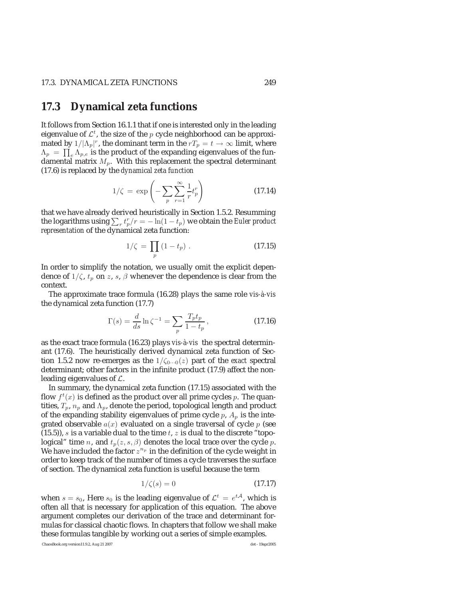### **17.3 Dynamical zeta functions**

It follows from Section 16.1.1 that if one is interested only in the leading eigenvalue of  $\mathcal{L}^t$ , the size of the p cycle neighborhood can be approximated by  $1/|\Lambda_p|^r$ , the dominant term in the  $rT_p = t \to \infty$  limit, where  $\Lambda_p \ = \ \prod_e \Lambda_{p,e}$  is the product of the expanding eigenvalues of the fundamental matrix  $M_p$ . With this replacement the spectral determinant (17.6) is replaced by the *dynamical zeta function*

$$
1/\zeta = \exp\left(-\sum_{p} \sum_{r=1}^{\infty} \frac{1}{r} t_p^r\right) \tag{17.14}
$$

that we have already derived heuristically in Section 1.5.2. Resumming the logarithms using  $\sum_{r} t_p^r / r = -\ln(1 - t_p)$  we obtain the *Euler product representation* of the dynamical zeta function:

$$
1/\zeta = \prod_{p} (1 - t_p) \,. \tag{17.15}
$$

In order to simplify the notation, we usually omit the explicit dependence of  $1/\zeta$ ,  $t_p$  on z, s,  $\beta$  whenever the dependence is clear from the context.

The approximate trace formula (16.28) plays the same role *vis-à-vis* the dynamical zeta function (17.7)

$$
\Gamma(s) = \frac{d}{ds} \ln \zeta^{-1} = \sum_{p} \frac{T_p t_p}{1 - t_p},
$$
\n(17.16)

as the exact trace formula (16.23) plays *vis-à-vis* the spectral determinant (17.6). The heuristically derived dynamical zeta function of Section 1.5.2 now re-emerges as the  $1/\zeta_{0\cdots0}(z)$  part of the *exact* spectral determinant; other factors in the infinite product (17.9) affect the nonleading eigenvalues of  $\mathcal{L}$ .

In summary, the dynamical zeta function (17.15) associated with the flow  $f^t(x)$  is defined as the product over all prime cycles p. The quantities,  $T_p$ ,  $n_p$  and  $\Lambda_p$ , denote the period, topological length and product of the expanding stability eigenvalues of prime cycle  $p$ ,  $A_p$  is the integrated observable  $a(x)$  evaluated on a single traversal of cycle  $p$  (see  $(15.5)$ , s is a variable dual to the time t, z is dual to the discrete "topological" time *n*, and  $t_p(z, s, \beta)$  denotes the local trace over the cycle *p*. We have included the factor  $z^{n_p}$  in the definition of the cycle weight in order to keep track of the number of times a cycle traverses the surface of section. The dynamical zeta function is useful because the term

$$
1/\zeta(s) = 0\tag{17.17}
$$

when  $s = s_0$ , Here  $s_0$  is the leading eigenvalue of  $\mathcal{L}^t = e^{t\mathcal{A}}$ , which is often all that is necessary for application of this equation. The above argument completes our derivation of the trace and determinant formulas for classical chaotic flows. In chapters that follow we shall make these formulas tangible by working out a series of simple examples.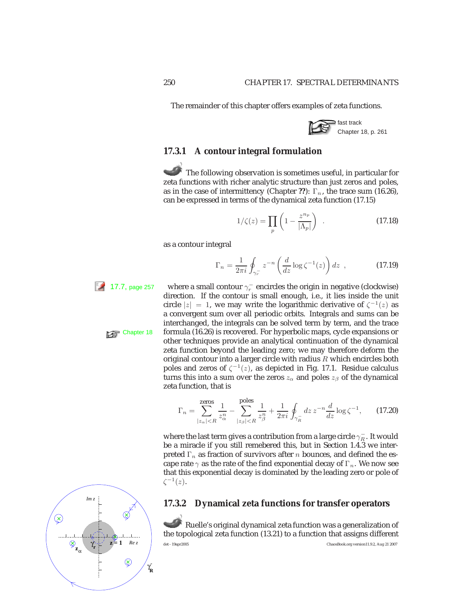The remainder of this chapter offers examples of zeta functions.



### **17.3.1 A contour integral formulation**

The following observation is sometimes useful, in particular for zeta functions with richer analytic structure than just zeros and poles, as in the case of intermittency (Chapter ??):  $\Gamma_n$ , the trace sum (16.26), can be expressed in terms of the dynamical zeta function (17.15)

$$
1/\zeta(z) = \prod_{p} \left( 1 - \frac{z^{n_p}}{|\Lambda_p|} \right) . \tag{17.18}
$$

as a contour integral

$$
\Gamma_n = \frac{1}{2\pi i} \oint_{\gamma_r^-} z^{-n} \left( \frac{d}{dz} \log \zeta^{-1}(z) \right) dz , \qquad (17.19)
$$

17.7, page 257 where a small contour  $\gamma_r^-$  encircles the origin in negative (clockwise) direction. If the contour is small enough, i.e., it lies inside the unit circle  $|z| = 1$ , we may write the logarithmic derivative of  $\zeta^{-1}(z)$  as a convergent sum over all periodic orbits. Integrals and sums can be interchanged, the integrals can be solved term by term, and the trace Chapter 18 formula (16.26) is recovered. For hyperbolic maps, cycle expansions or other techniques provide an analytical continuation of the dynamical zeta function beyond the leading zero; we may therefore deform the original contour into a larger circle with radius  $R$  which encircles both poles and zeros of  $\zeta^{-1}(z)$ , as depicted in Fig. 17.1. Residue calculus turns this into a sum over the zeros  $z_\alpha$  and poles  $z_\beta$  of the dynamical zeta function, that is

$$
\Gamma_n = \sum_{|z_{\alpha}| < R}^{ \text{zeros}} \frac{1}{z_{\alpha}^n} - \sum_{|z_{\beta}| < R}^{ \text{poles}} \frac{1}{z_{\beta}^n} + \frac{1}{2\pi i} \oint_{\gamma_R^-} dz \, z^{-n} \frac{d}{dz} \log \zeta^{-1}, \qquad (17.20)
$$

where the last term gives a contribution from a large circle  $\gamma_R^+$ . It would be a miracle if you still remebered this, but in Section 1.4.3 we interpreted  $\Gamma_n$  as fraction of survivors after *n* bounces, and defined the escape rate  $\gamma$  as the rate of the find exponential decay of  $\Gamma_n$ . We now see that this exponential decay is dominated by the leading zero or pole of  $\zeta^{-1}(z)$ .

### **17.3.2 Dynamical zeta functions for transfer operators**

Ruelle's original dynamical zeta function was a generalization of the topological zeta function (13.21) to a function that assigns different det - 19apr2005 ChaosBook.org version11.9.2, Aug 21 2007

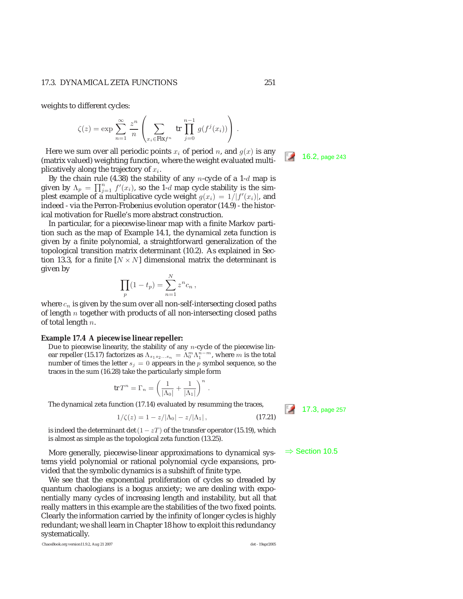weights to different cycles:

$$
\zeta(z) = \exp \sum_{n=1}^{\infty} \frac{z^n}{n} \left( \sum_{x_i \in \text{Fix} f^n} \text{tr} \prod_{j=0}^{n-1} g(f^j(x_i)) \right).
$$

Here we sum over all periodic points  $x_i$  of period *n*, and  $g(x)$  is any (matrix valued) weighting function, where the weight evaluated multi- $\Box$  16.2, page 243 plicatively along the trajectory of  $x_i$ .

By the chain rule (4.38) the stability of any n-cycle of a 1- $d$  map is given by  $\Lambda_p = \prod_{j=1}^n f'(x_i)$ , so the 1-d map cycle stability is the simplest example of a multiplicative cycle weight  $g(x_i)=1/|f'(x_i)|$ , and indeed - via the Perron-Frobenius evolution operator (14.9) - the historical motivation for Ruelle's more abstract construction.

In particular, for a piecewise-linear map with a finite Markov partition such as the map of Example 14.1, the dynamical zeta function is given by a finite polynomial, a straightforward generalization of the topological transition matrix determinant (10.2). As explained in Section 13.3, for a finite  $[N \times N]$  dimensional matrix the determinant is given by

$$
\prod_{p} (1 - t_p) = \sum_{n=1}^{N} z^n c_n ,
$$

where  $c_n$  is given by the sum over all non-self-intersecting closed paths of length  $n$  together with products of all non-intersecting closed paths of total length  $n$ .

#### **Example 17.4 A piecewise linear repeller:**

Due to piecewise linearity, the stability of any  $n$ -cycle of the piecewise linear repeller (15.17) factorizes as  $\Lambda_{s_1s_2...s_n} = \Lambda_0^m \Lambda_1^{\frac{m}{n}-m}$ , where m is the total<br>number of times the letter  $s_1 = 0$  appears in the a symbol sequence so the number of times the letter  $s_j = 0$  appears in the p symbol sequence, so the traces in the sum (16.28) take the particularly simple form

$$
\operatorname{tr} T^n = \Gamma_n = \left(\frac{1}{|\Lambda_0|} + \frac{1}{|\Lambda_1|}\right)^n
$$

The dynamical zeta function (17.14) evaluated by resumming the traces,  $\frac{17.3}{17.3}$ , page 257

$$
1/\zeta(z) = 1 - z/|\Lambda_0| - z/|\Lambda_1|, \qquad (17.21)
$$

.

is indeed the determinant det  $(1-zT)$  of the transfer operator (15.19), which is almost as simple as the topological zeta function (13.25).

More generally, piecewise-linear approximations to dynamical sys-  $\Rightarrow$  Section 10.5 tems yield polynomial or rational polynomial cycle expansions, provided that the symbolic dynamics is a subshift of finite type.

We see that the exponential proliferation of cycles so dreaded by quantum chaologians is a bogus anxiety; we are dealing with exponentially many cycles of increasing length and instability, but all that really matters in this example are the stabilities of the two fixed points. Clearly the information carried by the infinity of longer cycles is highly redundant; we shall learn in Chapter 18 how to exploit this redundancy systematically.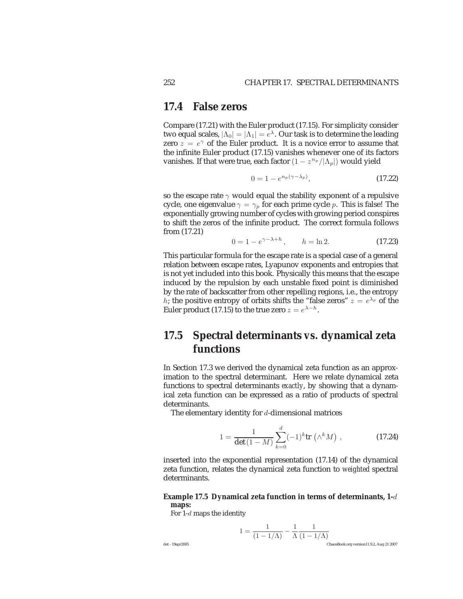### **17.4 False zeros**

Compare (17.21) with the Euler product (17.15). For simplicity consider two equal scales,  $|\Lambda_0| = |\Lambda_1| = e^{\lambda}$ . Our task is to determine the leading zero  $z = e^{\gamma}$  of the Euler product. It is a novice error to assume that the infinite Euler product (17.15) vanishes whenever one of its factors vanishes. If that were true, each factor  $(1 - z^{n_p}/|\Lambda_p|)$  would yield

$$
0 = 1 - e^{n_p(\gamma - \lambda_p)}, \tag{17.22}
$$

so the escape rate  $\gamma$  would equal the stability exponent of a repulsive cycle, one eigenvalue  $\gamma = \gamma_p$  for each prime cycle p. This is false! The exponentially growing number of cycles with growing period conspires to shift the zeros of the infinite product. The correct formula follows from (17.21)

$$
0 = 1 - e^{\gamma - \lambda + h}, \qquad h = \ln 2. \tag{17.23}
$$

This particular formula for the escape rate is a special case of a general relation between escape rates, Lyapunov exponents and entropies that is not yet included into this book. Physically this means that the escape induced by the repulsion by each unstable fixed point is diminished by the rate of backscatter from other repelling regions, i.e., the entropy h; the positive entropy of orbits shifts the "false zeros"  $z = e^{\lambda_p}$  of the Euler product (17.15) to the true zero  $z = e^{\lambda - h}$ .

## **17.5 Spectral determinants** *vs.* **dynamical zeta functions**

In Section 17.3 we derived the dynamical zeta function as an approximation to the spectral determinant. Here we relate dynamical zeta functions to spectral determinants *exactly*, by showing that a dynamical zeta function can be expressed as a ratio of products of spectral determinants.

The elementary identity for  $d$ -dimensional matrices

$$
1 = \frac{1}{\det(1 - M)} \sum_{k=0}^{d} (-1)^{k} \text{tr} \left( \wedge^{k} M \right), \qquad (17.24)
$$

inserted into the exponential representation (17.14) of the dynamical zeta function, relates the dynamical zeta function to *weighted* spectral determinants.

#### **Example 17.5 Dynamical zeta function in terms of determinants, 1-**d **maps:**

For 1-d maps the identity

$$
1 = \frac{1}{(1 - 1/\Lambda)} - \frac{1}{\Lambda} \frac{1}{(1 - 1/\Lambda)}
$$
ChaosBook.org version11.9.2, Aug 21 2007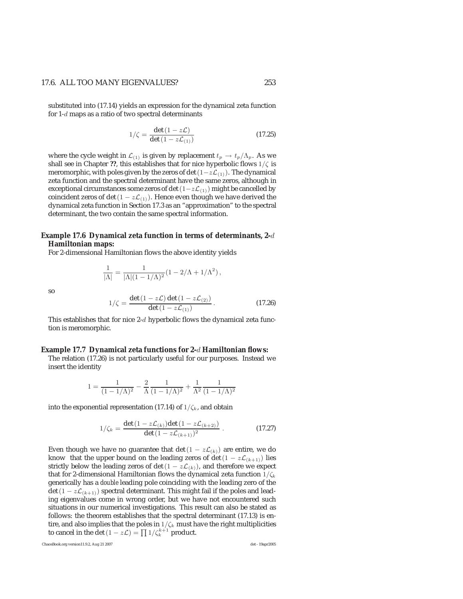#### 17.6. ALL TOO MANY EIGENVALUES? 253

substituted into (17.14) yields an expression for the dynamical zeta function for  $1-d$  maps as a ratio of two spectral determinants

$$
1/\zeta = \frac{\det(1 - z\mathcal{L})}{\det(1 - z\mathcal{L}_{(1)})}
$$
 (17.25)

where the cycle weight in  $\mathcal{L}_{(1)}$  is given by replacement  $t_p \to t_p/\Lambda_p$ . As we shall see in Chapter ??, this establishes that for nice hyperbolic flows  $1/\zeta$  is meromorphic, with poles given by the zeros of det  $(1-z\mathcal{L}_{(1)})$ . The dynamical zeta function and the spectral determinant have the same zeros, although in exceptional circumstances some zeros of det  $(1-z\mathcal{L}_{(1)})$  might be cancelled by coincident zeros of det  $(1 - z\mathcal{L}_{(1)})$ . Hence even though we have derived the dynamical zeta function in Section 17.3 as an "approximation" to the spectral determinant, the two contain the same spectral information.

#### **Example 17.6 Dynamical zeta function in terms of determinants, 2-**d **Hamiltonian maps:**

For 2-dimensional Hamiltonian flows the above identity yields

$$
f_{\rm{max}}
$$

so

$$
1/\zeta = \frac{\det(1 - z\mathcal{L}) \det(1 - z\mathcal{L}_{(2)})}{\det(1 - z\mathcal{L}_{(1)})}.
$$
 (17.26)

This establishes that for nice  $2-d$  hyperbolic flows the dynamical zeta function is meromorphic.

 $\frac{1}{|\Lambda|} = \frac{1}{|\Lambda|(1 - 1/\Lambda)^2} (1 - 2/\Lambda + 1/\Lambda^2),$ 

#### **Example 17.7 Dynamical zeta functions for 2-**d **Hamiltonian flows:**

The relation (17.26) is not particularly useful for our purposes. Instead we insert the identity

$$
1 = \frac{1}{(1 - 1/\Lambda)^2} - \frac{2}{\Lambda} \frac{1}{(1 - 1/\Lambda)^2} + \frac{1}{\Lambda^2} \frac{1}{(1 - 1/\Lambda)^2}
$$

into the exponential representation (17.14) of  $1/\zeta_k$ , and obtain

$$
1/\zeta_k = \frac{\det(1 - z\mathcal{L}_{(k)})\det(1 - z\mathcal{L}_{(k+2)})}{\det(1 - z\mathcal{L}_{(k+1)})^2}.
$$
 (17.27)

Even though we have no guarantee that det  $(1 - z\mathcal{L}_{(k)})$  are entire, we do know that the upper bound on the leading zeros of det  $(1 - z\mathcal{L}_{k+1})$  lies strictly below the leading zeros of det  $(1 - z\mathcal{L}_{(k)})$ , and therefore we expect that for 2-dimensional Hamiltonian flows the dynamical zeta function  $1/\zeta_k$ generically has a *double* leading pole coinciding with the leading zero of the det (1 –  $z\mathcal{L}_{(k+1)}$ ) spectral determinant. This might fail if the poles and leading eigenvalues come in wrong order, but we have not encountered such situations in our numerical investigations. This result can also be stated as follows: the theorem establishes that the spectral determinant (17.13) is entire, and also implies that the poles in  $1/\zeta_k$  must have the right multiplicities to cancel in the det  $(1 - z\mathcal{L}) = \prod 1/\zeta_k^{k+1}$  product.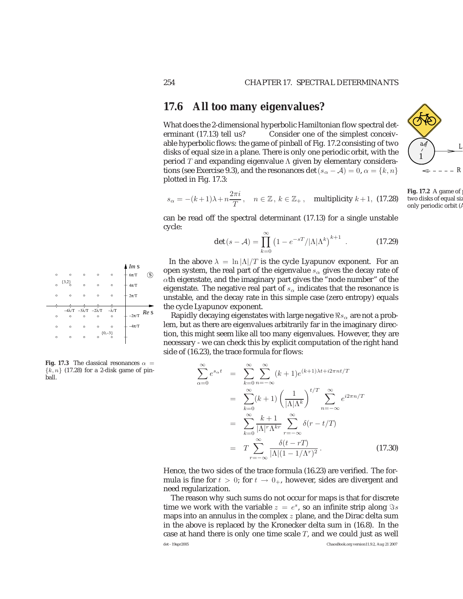### **17.6 All too many eigenvalues?**

What does the 2-dimensional hyperbolic Hamiltonian flow spectral determinant (17.13) tell us? Consider one of the simplest conceivable hyperbolic flows: the game of pinball of Fig. 17.2 consisting of two disks of equal size in a plane. There is only one periodic orbit, with the period T and expanding eigenvalue  $\Lambda$  given by elementary considerations (see Exercise 9.3), and the resonances det ( $s_{\alpha} - A$ ) = 0,  $\alpha = \{k, n\}$ plotted in Fig. 17.3:

$$
s_{\alpha} = -(k+1)\lambda + n\frac{2\pi i}{T}, \quad n \in \mathbb{Z}, \, k \in \mathbb{Z}_+, \quad \text{multiplicity } k+1, \text{ (17.28)}
$$

can be read off the spectral determinant (17.13) for a single unstable cycle:

$$
\det(s - A) = \prod_{k=0}^{\infty} \left(1 - e^{-sT} / |\Lambda| \Lambda^k \right)^{k+1} . \tag{17.29}
$$

In the above  $\lambda = \ln |\Lambda|/T$  is the cycle Lyapunov exponent. For an open system, the real part of the eigenvalue  $s_{\alpha}$  gives the decay rate of  $\alpha$ th eigenstate, and the imaginary part gives the "node number" of the eigenstate. The negative real part of  $s_\alpha$  indicates that the resonance is unstable, and the decay rate in this simple case (zero entropy) equals the cycle Lyapunov exponent.

Rapidly decaying eigenstates with large negative  $\Re s_\alpha$  are not a problem, but as there are eigenvalues arbitrarily far in the imaginary direction, this might seem like all too many eigenvalues. However, they are necessary - we can check this by explicit computation of the right hand side of (16.23), the trace formula for flows:

$$
\sum_{\alpha=0}^{\infty} e^{s_{\alpha}t} = \sum_{k=0}^{\infty} \sum_{n=-\infty}^{\infty} (k+1)e^{(k+1)\lambda t + i2\pi nt/T}
$$

$$
= \sum_{k=0}^{\infty} (k+1) \left(\frac{1}{|\Lambda|\Lambda^k}\right)^{t/T} \sum_{n=-\infty}^{\infty} e^{i2\pi n/T}
$$

$$
= \sum_{k=0}^{\infty} \frac{k+1}{|\Lambda|^r \Lambda^{kr}} \sum_{r=-\infty}^{\infty} \delta(r-t/T)
$$

$$
= T \sum_{r=-\infty}^{\infty} \frac{\delta(t-rT)}{|\Lambda|(1-1/\Lambda^r)^2}.
$$
(17.30)

Hence, the two sides of the trace formula (16.23) are verified. The formula is fine for  $t > 0$ ; for  $t \to 0_+$ , however, sides are divergent and need regularization.

The reason why such sums do not occur for maps is that for discrete time we work with the variable  $z = e^s$ , so an infinite strip along  $\Im s$ maps into an annulus in the complex  $z$  plane, and the Dirac delta sum in the above is replaced by the Kronecker delta sum in (16.8). In the case at hand there is only one time scale  $T$ , and we could just as well det - 19apr2005 ChaosBook.org version11.9.2, Aug 21 2007

s s *Re* 2π/Τ −2π/Τ 4π/Τ 6π/Τ −4λ/Τ −3λ/Τ −2λ/Τ −λ/Τ −4π/Τ s {3,2} {0,−3} *Im*

**Fig. 17.3** The classical resonances  $\alpha$  =  ${k, n}$  (17.28) for a 2-disk game of pinball.



**Fig. 17.2** A game of two disks of equal siz only periodic orbit (A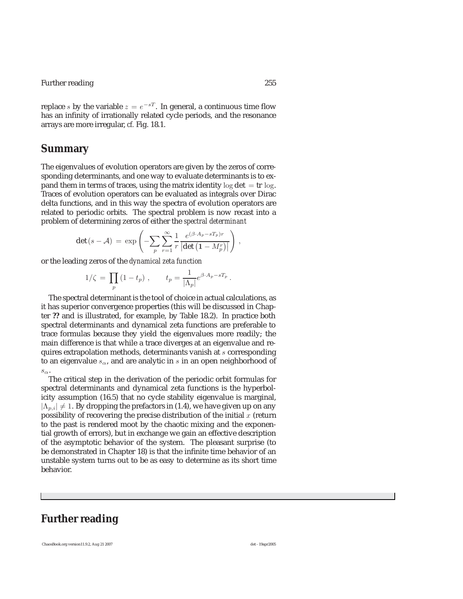Further reading 255

replace s by the variable  $z = e^{-sT}$ . In general, a continuous time flow has an infinity of irrationally related cycle periods, and the resonance arrays are more irregular, *cf.* Fig. 18.1.

### **Summary**

The eigenvalues of evolution operators are given by the zeros of corresponding determinants, and one way to evaluate determinants is to expand them in terms of traces, using the matrix identity  $\log \det = \text{tr} \log$ . Traces of evolution operators can be evaluated as integrals over Dirac delta functions, and in this way the spectra of evolution operators are related to periodic orbits. The spectral problem is now recast into a problem of determining zeros of either the *spectral determinant*

$$
\det(s - A) = \exp\left(-\sum_{p} \sum_{r=1}^{\infty} \frac{1}{r} \frac{e^{(\beta \cdot A_p - sT_p)r}}{|\det(1 - M_p^r)|}\right),
$$

or the leading zeros of the *dynamical zeta function*

$$
1/\zeta = \prod_p (1 - t_p) , \qquad t_p = \frac{1}{|\Lambda_p|} e^{\beta \cdot A_p - sT_p} .
$$

The spectral determinant is the tool of choice in actual calculations, as it has superior convergence properties (this will be discussed in Chapter **??** and is illustrated, for example, by Table 18.2). In practice both spectral determinants and dynamical zeta functions are preferable to trace formulas because they yield the eigenvalues more readily; the main difference is that while a trace diverges at an eigenvalue and requires extrapolation methods, determinants vanish at s corresponding to an eigenvalue  $s_{\alpha}$ , and are analytic in s in an open neighborhood of  $s_{\alpha}$ .

The critical step in the derivation of the periodic orbit formulas for spectral determinants and dynamical zeta functions is the hyperbolicity assumption (16.5) that no cycle stability eigenvalue is marginal,  $|\Lambda_{p,i}|\neq 1.$  By dropping the prefactors in (1.4), we have given up on any possibility of recovering the precise distribution of the initial  $x$  (return to the past is rendered moot by the chaotic mixing and the exponential growth of errors), but in exchange we gain an effective description of the asymptotic behavior of the system. The pleasant surprise (to be demonstrated in Chapter 18) is that the infinite time behavior of an unstable system turns out to be as easy to determine as its short time behavior.

## **Further reading**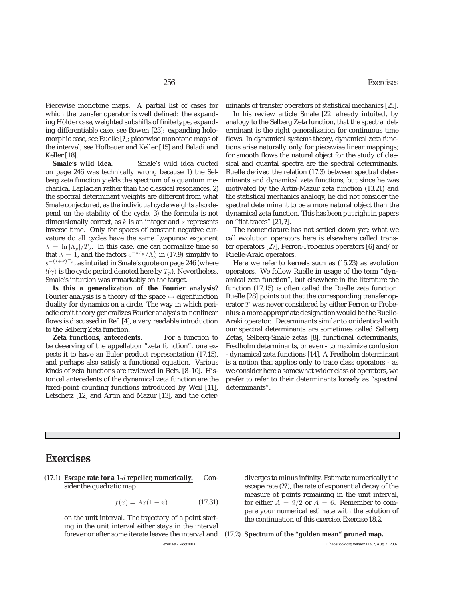Piecewise monotone maps. A partial list of cases for which the transfer operator is well defined: the expanding Hölder case, weighted subshifts of finite type, expanding differentiable case, see Bowen [23]: expanding holomorphic case, see Ruelle [**?**]; piecewise monotone maps of the interval, see Hofbauer and Keller [15] and Baladi and Keller [18].

**Smale's wild idea.** Smale's wild idea quoted on page 246 was technically wrong because 1) the Selberg zeta function yields the spectrum of a quantum mechanical Laplacian rather than the classical resonances, 2) the spectral determinant weights are different from what Smale conjectured, as the individual cycle weights also depend on the stability of the cycle, 3) the formula is not dimensionally correct, as  $k$  is an integer and  $s$  represents inverse time. Only for spaces of constant negative curvature do all cycles have the same Lyapunov exponent  $\lambda = \ln |\Lambda_p|/T_p$ . In this case, one can normalize time so that  $\lambda = 1$ , and the factors  $e^{-sT_p}/\Lambda_p^k$  in (17.9) simplify to  $e^{-(s+k)T_p}$  as intuited in Smale's quote on page 246 (where  $s^{-(s+k)T_p}$ , as intuited in Smale's quote on page 246 (where  $l(\gamma)$  is the cycle period denoted here by  $T_p$ ). Nevertheless, Smale's intuition was remarkably on the target.

**Is this a generalization of the Fourier analysis?** Fourier analysis is a theory of the space  $\leftrightarrow$  eigenfunction duality for dynamics on a circle. The way in which periodic orbit theory generalizes Fourier analysis to nonlinear flows is discussed in Ref. [4], a very readable introduction to the Selberg Zeta function.

**Zeta functions, antecedents.** For a function to be deserving of the appellation "zeta function", one expects it to have an Euler product representation (17.15), and perhaps also satisfy a functional equation. Various kinds of zeta functions are reviewed in Refs. [8–10]. Historical antecedents of the dynamical zeta function are the fixed-point counting functions introduced by Weil [11], Lefschetz [12] and Artin and Mazur [13], and the determinants of transfer operators of statistical mechanics [25].

In his review article Smale [22] already intuited, by analogy to the Selberg Zeta function, that the spectral determinant is the right generalization for continuous time flows. In dynamical systems theory, dynamical zeta functions arise naturally only for piecewise linear mappings; for smooth flows the natural object for the study of classical and quantal spectra are the spectral determinants. Ruelle derived the relation (17.3) between spectral determinants and dynamical zeta functions, but since he was motivated by the Artin-Mazur zeta function (13.21) and the statistical mechanics analogy, he did not consider the spectral determinant to be a more natural object than the dynamical zeta function. This has been put right in papers on "flat traces" [21, **?**].

The nomenclature has not settled down yet; what we call evolution operators here is elsewhere called transfer operators [27], Perron-Frobenius operators [6] and/or Ruelle-Araki operators.

Here we refer to kernels such as (15.23) as evolution operators. We follow Ruelle in usage of the term "dynamical zeta function", but elsewhere in the literature the function (17.15) is often called the Ruelle zeta function. Ruelle [28] points out that the corresponding transfer operator T was never considered by either Perron or Frobenius; a more appropriate designation would be the Ruelle-Araki operator. Determinants similar to or identical with our spectral determinants are sometimes called Selberg Zetas, Selberg-Smale zetas [8], functional determinants, Fredholm determinants, or even - to maximize confusion - dynamical zeta functions [14]. A Fredholm determinant is a notion that applies only to trace class operators - as we consider here a somewhat wider class of operators, we prefer to refer to their determinants loosely as "spectral determinants".

### **Exercises**

(17.1) **Escape rate for a 1-**d **repeller, numerically.** Consider the quadratic map

$$
f(x) = Ax(1 - x)
$$
 (17.31)

on the unit interval. The trajectory of a point starting in the unit interval either stays in the interval forever or after some iterate leaves the interval and diverges to minus infinity. Estimate numerically the escape rate (**??**), the rate of exponential decay of the measure of points remaining in the unit interval, for either  $A = 9/2$  or  $A = 6$ . Remember to compare your numerical estimate with the solution of the continuation of this exercise, Exercise 18.2.

#### (17.2) **Spectrum of the "golden mean" pruned map.**

exerDet - 4oct2003 ChaosBook.org version11.9.2, Aug 21 2007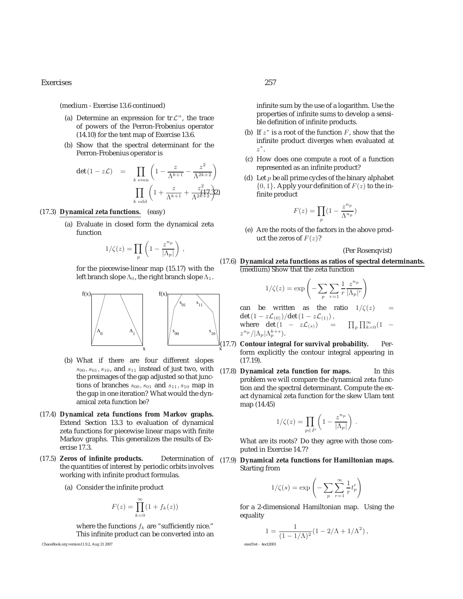Exercises 257

(medium - Exercise 13.6 continued)

- (a) Determine an expression for  $tr \mathcal{L}^n$ , the trace of powers of the Perron-Frobenius operator (14.10) for the tent map of Exercise 13.6.
- (b) Show that the spectral determinant for the Perron-Frobenius operator is

$$
\det (1 - z\mathcal{L}) = \prod_{k \text{ even}} \left( 1 - \frac{z}{\Lambda^{k+1}} - \frac{z^2}{\Lambda^{2k+2}} \right)
$$

$$
\prod_{k \text{ odd}} \left( 1 + \frac{z}{\Lambda^{k+1}} + \frac{z^2}{\Lambda^{2k+2}} \mathfrak{Z}^2 \right)
$$

#### (17.3) **Dynamical zeta functions.** (easy)

(a) Evaluate in closed form the dynamical zeta function

$$
1/\zeta(z) = \prod_{p} \left( 1 - \frac{z^{n_p}}{|\Lambda_p|} \right) ,
$$

for the piecewise-linear map (15.17) with the left branch slope  $\Lambda_0$ , the right branch slope  $\Lambda_1$ .



- (b) What if there are four different slopes  $s_{00}, s_{01}, s_{10}$ , and  $s_{11}$  instead of just two, with the preimages of the gap adjusted so that junctions of branches  $s_{00}, s_{01}$  and  $s_{11}, s_{10}$  map in the gap in one iteration? What would the dynamical zeta function be?
- (17.4) **Dynamical zeta functions from Markov graphs.** Extend Section 13.3 to evaluation of dynamical zeta functions for piecewise linear maps with finite Markov graphs. This generalizes the results of Exercise 17.3.
- (17.5) **Zeros of infinite products.** Determination of the quantities of interest by periodic orbits involves working with infinite product formulas.
	- (a) Consider the infinite product

$$
F(z) = \prod_{k=0}^{\infty} (1 + f_k(z))
$$

where the functions  $f_k$  are "sufficiently nice." This infinite product can be converted into an



infinite sum by the use of a logarithm. Use the properties of infinite sums to develop a sensible definition of infinite products.

- (b) If  $z^*$  is a root of the function  $F$ , show that the infinite product diverges when evaluated at z<sup>∗</sup>.
- (c) How does one compute a root of a function represented as an infinite product?
- (d) Let  $p$  be all prime cycles of the binary alphabet  $\{0, 1\}$ . Apply your definition of  $F(z)$  to the infinite product

$$
F(z) = \prod_{p} \left( 1 - \frac{z^{n_p}}{\Lambda^{n_p}} \right)
$$

(e) Are the roots of the factors in the above product the zeros of  $F(z)$ ?

(Per Rosenqvist)

#### (17.6) **Dynamical zeta functions as ratios of spectral determinants.** (medium) Show that the zeta function

$$
1/\zeta(z) = \exp\left(-\sum_{p} \sum_{r=1}^{\infty} \frac{1}{r} \frac{z^{n_p}}{|\Lambda_p|^r}\right)
$$

can be written as the ratio  $1/\zeta(z)$ det  $(1 - z\mathcal{L}_{(0)})/det(1 - z\mathcal{L}_{(1)})$ , where det  $(1 - z\mathcal{L}_{(s)})$  =  $_p \prod_{k=0}^{\infty} (1$  $z^{n_p}/|\Lambda_p|\Lambda_p^{k+s}$ .

(17.7) **Contour integral for survival probability.** Perform explicitly the contour integral appearing in (17.19).

(17.8) **Dynamical zeta function for maps.** In this problem we will compare the dynamical zeta function and the spectral determinant. Compute the exact dynamical zeta function for the skew Ulam tent map (14.45)

$$
1/\zeta(z) = \prod_{p \in P} \left( 1 - \frac{z^{n_p}}{|\Lambda_p|} \right) .
$$

What are its roots? Do they agree with those computed in Exercise 14.7?

(17.9) **Dynamical zeta functions for Hamiltonian maps.** Starting from

$$
1/\zeta(s) = \exp\left(-\sum_{p} \sum_{r=1}^{\infty} \frac{1}{r} t_p^r\right)
$$

for a 2-dimensional Hamiltonian map. Using the equality

$$
1 = \frac{1}{(1 - 1/\Lambda)^2} (1 - 2/\Lambda + 1/\Lambda^2),
$$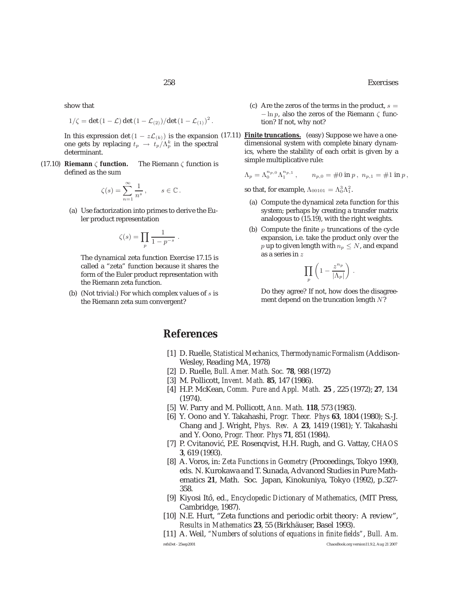show that

$$
1/\zeta = \det(1-\mathcal{L}) \det(1-\mathcal{L}_{(2)})/\det(1-\mathcal{L}_{(1)})^2.
$$

In this expression det (1 –  $z\mathcal{L}_{(k)}$ ) is the expansion (17.11) one gets by replacing  $t_p \rightarrow t_p/\Lambda_p^k$  in the spectral<br>determinant determinant.

(17.10) **Riemann** ζ **function.** The Riemann ζ function is defined as the sum

$$
\zeta(s) = \sum_{n=1}^{\infty} \frac{1}{n^s}, \qquad s \in \mathbb{C}.
$$

(a) Use factorization into primes to derive the Euler product representation

$$
\zeta(s) = \prod_p \frac{1}{1 - p^{-s}}.
$$

The dynamical zeta function Exercise 17.15 is called a "zeta" function because it shares the form of the Euler product representation with the Riemann zeta function.

(b) (Not trivial:) For which complex values of  $s$  is the Riemann zeta sum convergent?

- (c) Are the zeros of the terms in the product,  $s =$  $-\ln p$ , also the zeros of the Riemann  $\zeta$  function? If not, why not?
- **Finite truncations.** (easy) Suppose we have a onedimensional system with complete binary dynamics, where the stability of each orbit is given by a simple multiplicative rule:

 $\Lambda_p = \Lambda_0^{n_p,0} \Lambda_1^{n_{p,1}}$ ,  $n_{p,0} = \text{\#}0 \text{ in } p$ ,  $n_{p,1} = \text{\#}1 \text{ in } p$ ,

so that, for example,  $\Lambda_{00101} = \Lambda_0^3 \Lambda_1^2$ .

- (a) Compute the dynamical zeta function for this system; perhaps by creating a transfer matrix analogous to (15.19), with the right weights.
- (b) Compute the finite  $p$  truncations of the cycle expansion, i.e. take the product only over the p up to given length with  $n_p \leq N$ , and expand as a series in z

$$
\prod_p \left(1-\frac{z^{n_p}}{|\Lambda_p|}\right)
$$

.

Do they agree? If not, how does the disagreement depend on the truncation length N?

### **References**

- [1] D. Ruelle, *Statistical Mechanics, Thermodynamic Formalism* (Addison-Wesley, Reading MA, 1978)
- [2] D. Ruelle, *Bull. Amer. Math. Soc.* **78**, 988 (1972)
- [3] M. Pollicott, *Invent. Math.* **85**, 147 (1986).
- [4] H.P. McKean, *Comm. Pure and Appl. Math.* **25** , 225 (1972); **27**, 134 (1974).
- [5] W. Parry and M. Pollicott, *Ann. Math.* **118**, 573 (1983).
- [6] Y. Oono and Y. Takahashi, *Progr. Theor. Phys* **63**, 1804 (1980); S.-J. Chang and J. Wright, *Phys. Rev. A* **23**, 1419 (1981); Y. Takahashi and Y. Oono, *Progr. Theor. Phys* **71**, 851 (1984).
- [7] P. Cvitanović, P.E. Rosenqvist, H.H. Rugh, and G. Vattay, *CHAOS* **3**, 619 (1993).
- [8] A. Voros, in: *Zeta Functions in Geometry* (Proceedings, Tokyo 1990), eds. N. Kurokawa and T. Sunada, Advanced Studies in Pure Mathematics **21**, Math. Soc. Japan, Kinokuniya, Tokyo (1992), p.327- 358.
- [9] Kiyosi Itô, ed., *Encyclopedic Dictionary of Mathematics*, (MIT Press, Cambridge, 1987).
- [10] N.E. Hurt, "Zeta functions and periodic orbit theory: A review", *Results in Mathematics* 23, 55 (Birkhäuser, Basel 1993).
- [11] A. Weil, *"Numbers of solutions of equations in finite fields"*, *Bull. Am.* refsDet - 25sep2001 ChaosBook.org version11.9.2, Aug 21 2007